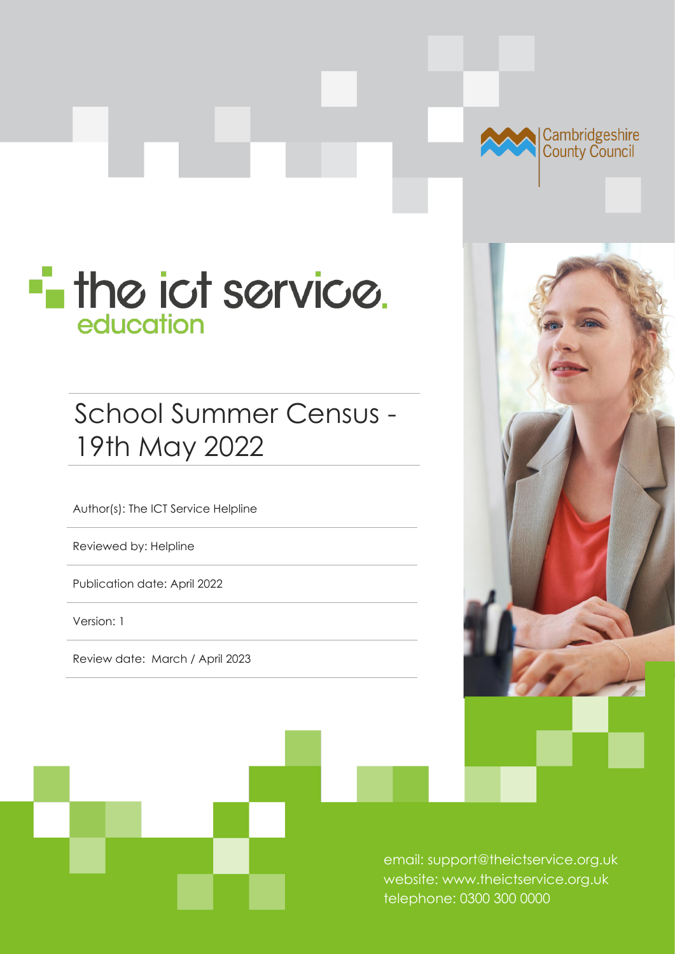

# **The ict service.** education

# School Summer Census - 19th May 2022

Author(s): The ICT Service Helpline

Reviewed by: Helpline

Publication date: April 2022

Version: 1

Review date: March / April 2023



email: support@theictservice.org.uk website: www.theictservice.org.uk telephone: 0300 300 0000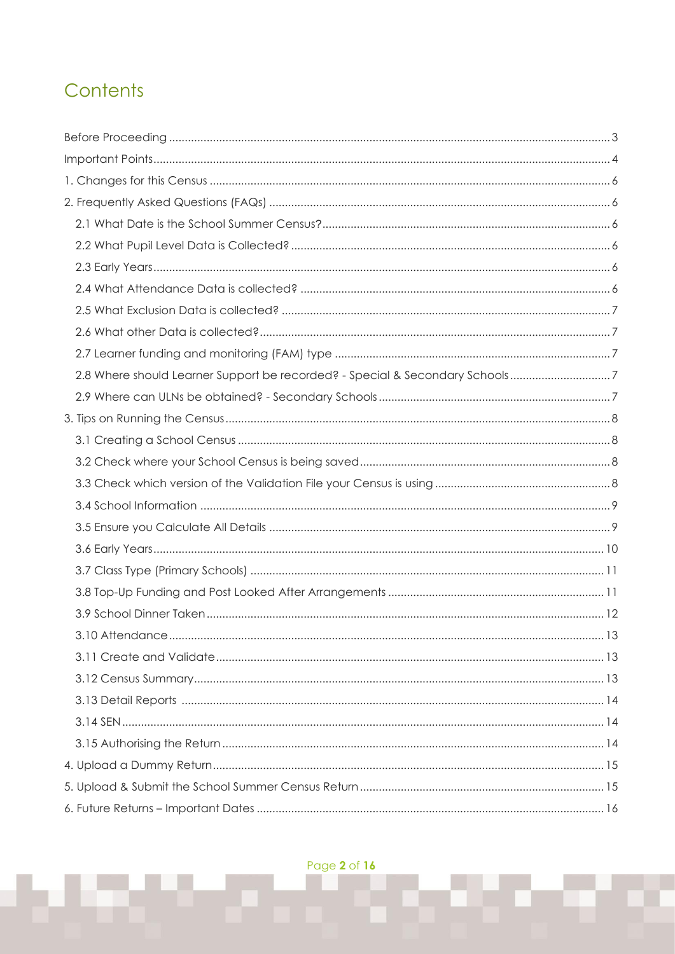# Contents

| 2.8 Where should Learner Support be recorded? - Special & Secondary Schools7 |  |
|------------------------------------------------------------------------------|--|
|                                                                              |  |
|                                                                              |  |
|                                                                              |  |
|                                                                              |  |
|                                                                              |  |
|                                                                              |  |
|                                                                              |  |
|                                                                              |  |
|                                                                              |  |
|                                                                              |  |
|                                                                              |  |
| 3.10 Attendance.                                                             |  |
|                                                                              |  |
|                                                                              |  |
|                                                                              |  |
|                                                                              |  |
|                                                                              |  |
|                                                                              |  |
|                                                                              |  |
|                                                                              |  |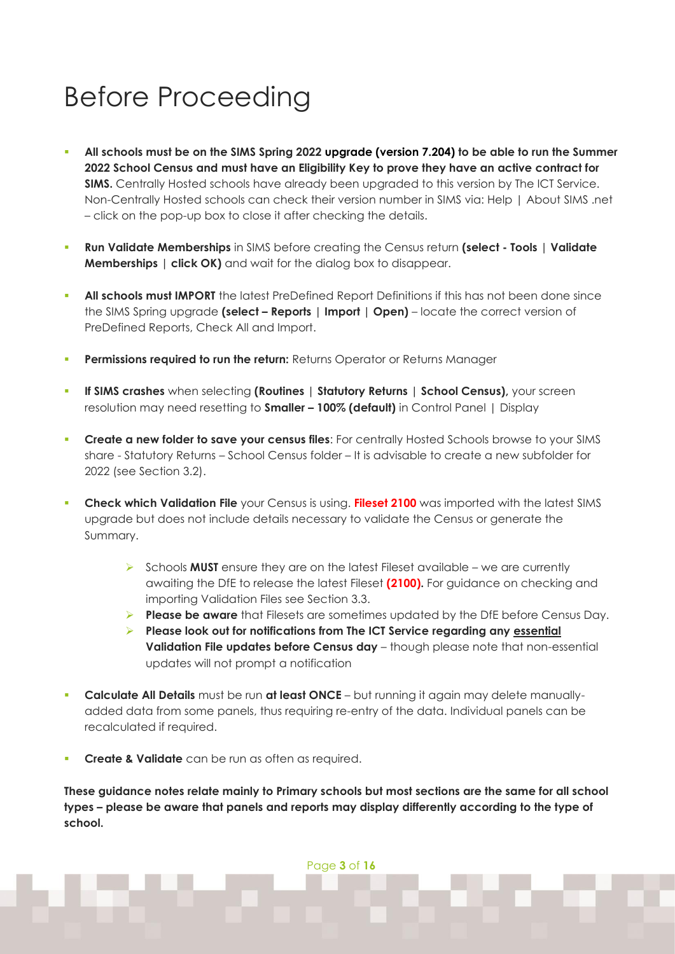# <span id="page-2-0"></span>Before Proceeding

- All schools must be on the SIMS Spring 2022 upgrade (version 7.204) to be able to run the Summer **2022 School Census and must have an Eligibility Key to prove they have an active contract for SIMS.** Centrally Hosted schools have already been upgraded to this version by The ICT Service. Non-Centrally Hosted schools can check their version number in SIMS via: Help | About SIMS .net – click on the pop-up box to close it after checking the details.
- **Run Validate Memberships** in SIMS before creating the Census return **(select - Tools | Validate Memberships | click OK)** and wait for the dialog box to disappear.
- All schools must IMPORT the latest PreDefined Report Definitions if this has not been done since the SIMS Spring upgrade **(select – Reports | Import | Open)** – locate the correct version of PreDefined Reports, Check All and Import.
- **Permissions required to run the return:** Returns Operator or Returns Manager
- **If SIMS crashes** when selecting **(Routines | Statutory Returns | School Census)**, your screen resolution may need resetting to **Smaller – 100% (default)** in Control Panel | Display
- **EXPLORE A new folder to save your census files:** For centrally Hosted Schools browse to your SIMS share - Statutory Returns – School Census folder – It is advisable to create a new subfolder for 2022 (see Section 3.2).
- **Check which Validation File** your Census is using. **Fileset 2100** was imported with the latest SIMS upgrade but does not include details necessary to validate the Census or generate the Summary.
	- ➢ Schools **MUST** ensure they are on the latest Fileset available we are currently awaiting the DfE to release the latest Fileset **(2100).** For guidance on checking and importing Validation Files see Section 3.3.
	- ➢ **Please be aware** that Filesets are sometimes updated by the DfE before Census Day.
	- ➢ **Please look out for notifications from The ICT Service regarding any essential Validation File updates before Census day** – though please note that non-essential updates will not prompt a notification
- **Calculate All Details** must be run **at least ONCE** but running it again may delete manuallyadded data from some panels, thus requiring re-entry of the data. Individual panels can be recalculated if required.
- **Create & Validate** can be run as often as required.

**These guidance notes relate mainly to Primary schools but most sections are the same for all school types – please be aware that panels and reports may display differently according to the type of school.** 

Page **3** of **16**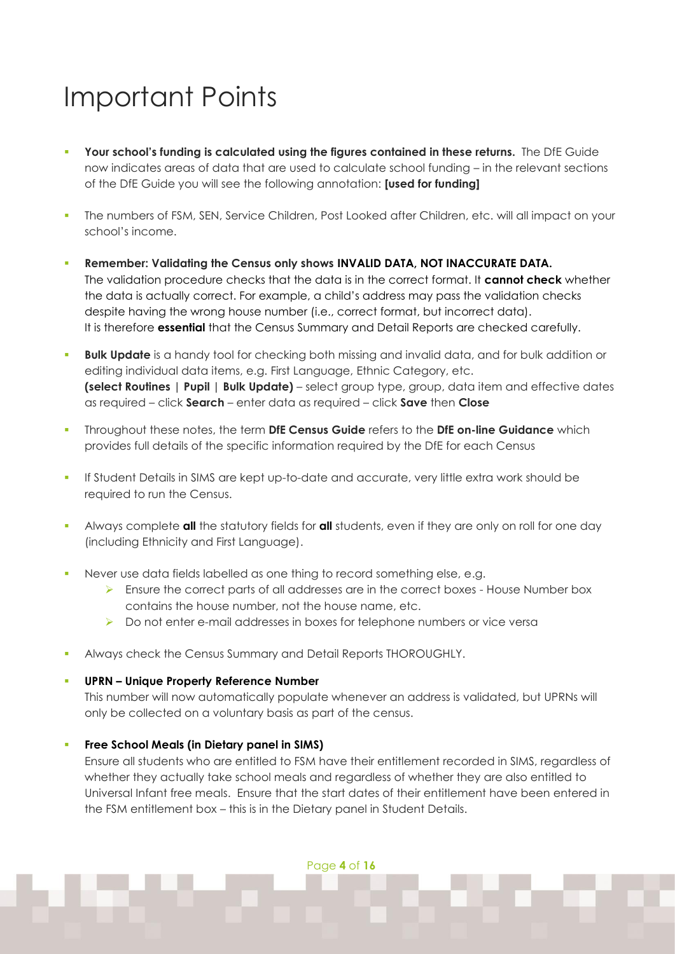# <span id="page-3-0"></span>Important Points

- **Your school's funding is calculated using the figures contained in these returns.** The DfE Guide now indicates areas of data that are used to calculate school funding – in the relevant sections of the DfE Guide you will see the following annotation: **[used for funding]**
- **·** The numbers of FSM, SEN, Service Children, Post Looked after Children, etc. will all impact on your school's income.
- **E** Remember: Validating the Census only shows INVALID DATA, NOT INACCURATE DATA. The validation procedure checks that the data is in the correct format. It **cannot check** whether the data is actually correct. For example, a child's address may pass the validation checks despite having the wrong house number (i.e., correct format, but incorrect data). It is therefore **essential** that the Census Summary and Detail Reports are checked carefully.
- **Bulk Update** is a handy tool for checking both missing and invalid data, and for bulk addition or editing individual data items, e.g. First Language, Ethnic Category, etc. **(select Routines | Pupil | Bulk Update)** – select group type, group, data item and effective dates as required – click **Search** – enter data as required – click **Save** then **Close**
- Throughout these notes, the term **DfE Census Guide** refers to the **DfE on-line Guidance** which provides full details of the specific information required by the DfE for each Census
- If Student Details in SIMS are kept up-to-date and accurate, very little extra work should be required to run the Census.
- Always complete all the statutory fields for all students, even if they are only on roll for one day (including Ethnicity and First Language).
- Never use data fields labelled as one thing to record something else, e.g.
	- $\triangleright$  Ensure the correct parts of all addresses are in the correct boxes House Number box contains the house number, not the house name, etc.
	- ➢ Do not enter e-mail addresses in boxes for telephone numbers or vice versa
- Always check the Census Summary and Detail Reports THOROUGHLY.

### ▪ **UPRN – Unique Property Reference Number**

This number will now automatically populate whenever an address is validated, but UPRNs will only be collected on a voluntary basis as part of the census.

### **Free School Meals (in Dietary panel in SIMS)**

Ensure all students who are entitled to FSM have their entitlement recorded in SIMS, regardless of whether they actually take school meals and regardless of whether they are also entitled to Universal Infant free meals. Ensure that the start dates of their entitlement have been entered in the FSM entitlement box – this is in the Dietary panel in Student Details.

Page **4** of **16**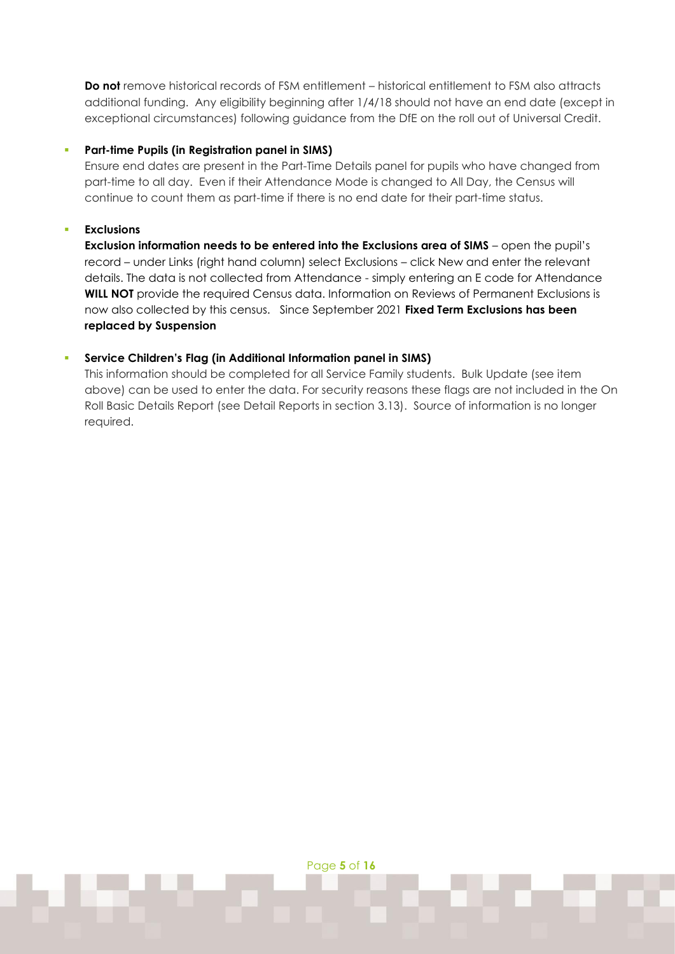**Do not** remove historical records of FSM entitlement – historical entitlement to FSM also attracts additional funding. Any eligibility beginning after 1/4/18 should not have an end date (except in exceptional circumstances) following guidance from the DfE on the roll out of Universal Credit.

#### Part-time Pupils (in Registration panel in SIMS)

Ensure end dates are present in the Part-Time Details panel for pupils who have changed from part-time to all day. Even if their Attendance Mode is changed to All Day, the Census will continue to count them as part-time if there is no end date for their part-time status.

#### **Exclusions**

**Exclusion information needs to be entered into the Exclusions area of SIMS** – open the pupil's record – under Links (right hand column) select Exclusions – click New and enter the relevant details. The data is not collected from Attendance - simply entering an E code for Attendance **WILL NOT** provide the required Census data. Information on Reviews of Permanent Exclusions is now also collected by this census. Since September 2021 **Fixed Term Exclusions has been replaced by Suspension**

### ▪ **Service Children's Flag (in Additional Information panel in SIMS)**

This information should be completed for all Service Family students. Bulk Update (see item above) can be used to enter the data. For security reasons these flags are not included in the On Roll Basic Details Report (see Detail Reports in section 3.13). Source of information is no longer required.

Page **5** of **16**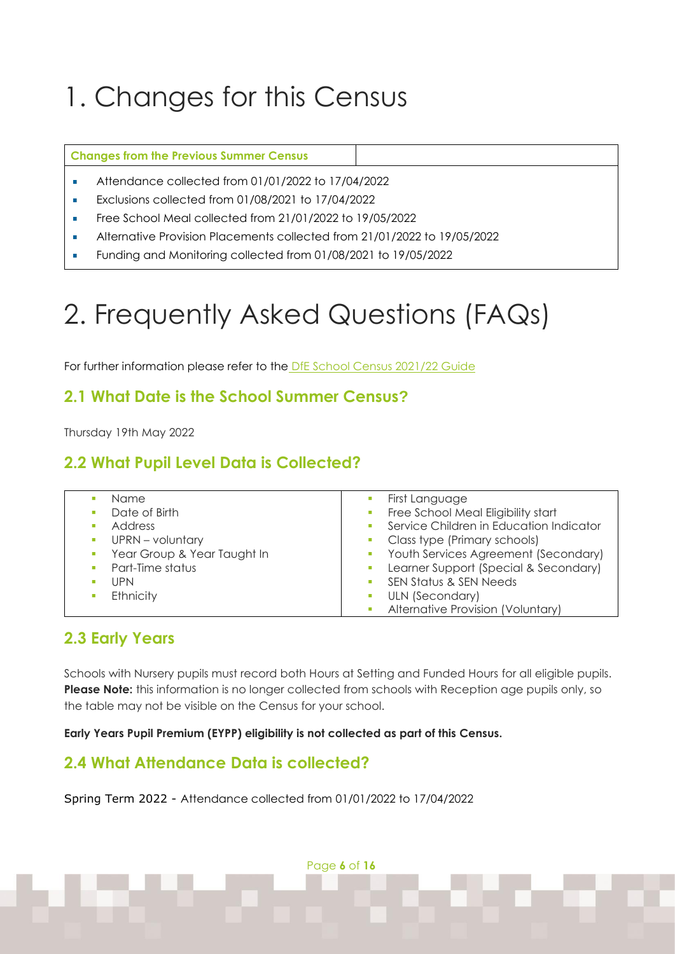# <span id="page-5-0"></span>1. Changes for this Census

#### **Changes from the Previous Summer Census**

- Attendance collected from 01/01/2022 to 17/04/2022
- Exclusions collected from 01/08/2021 to 17/04/2022
- Free School Meal collected from 21/01/2022 to 19/05/2022
- Alternative Provision Placements collected from 21/01/2022 to 19/05/2022
- <span id="page-5-1"></span>Funding and Monitoring collected from 01/08/2021 to 19/05/2022

# 2. Frequently Asked Questions (FAQs)

For further information please refer to the [DfE School Census 2021/22](https://www.gov.uk/guidance/complete-the-school-census) Guide

### <span id="page-5-2"></span>**2.1 What Date is the School Summer Census?**

Thursday 19th May 2022

## <span id="page-5-3"></span>**2.2 What Pupil Level Data is Collected?**

|     | Name                        | First Language                           |
|-----|-----------------------------|------------------------------------------|
|     | Date of Birth               | Free School Meal Eligibility start       |
|     | Address                     | Service Children in Education Indicator  |
|     | UPRN - voluntary            | Class type (Primary schools)             |
|     | Year Group & Year Taught In | Youth Services Agreement (Secondary)     |
|     | Part-Time status            | Learner Support (Special & Secondary)    |
| UPN |                             | SEN Status & SEN Needs                   |
|     | Ethnicity                   | ULN (Secondary)                          |
|     |                             | <b>Alternative Provision (Voluntary)</b> |

### <span id="page-5-4"></span>**2.3 Early Years**

Schools with Nursery pupils must record both Hours at Setting and Funded Hours for all eligible pupils. **Please Note:** this information is no longer collected from schools with Reception age pupils only, so the table may not be visible on the Census for your school.

**Early Years Pupil Premium (EYPP) eligibility is not collected as part of this Census.**

## <span id="page-5-5"></span>**2.4 What Attendance Data is collected?**

Spring Term 2022 - Attendance collected from 01/01/2022 to 17/04/2022

Page **6** of **16**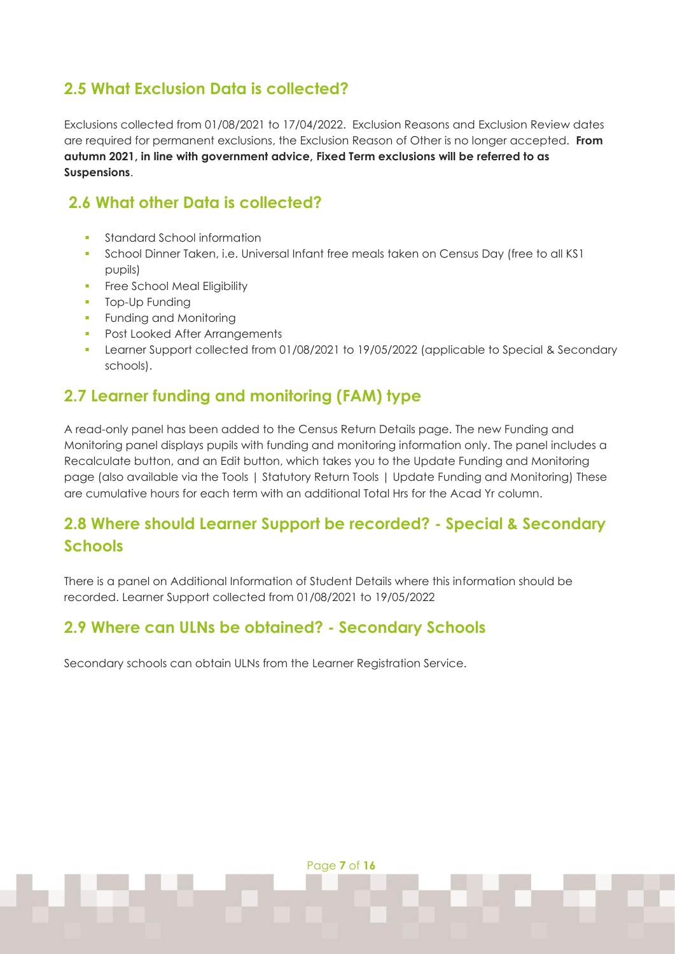# <span id="page-6-0"></span>**2.5 What Exclusion Data is collected?**

Exclusions collected from 01/08/2021 to 17/04/2022. Exclusion Reasons and Exclusion Review dates are required for permanent exclusions, the Exclusion Reason of Other is no longer accepted. **From autumn 2021, in line with government advice, Fixed Term exclusions will be referred to as Suspensions**.

## <span id="page-6-1"></span>**2.6 What other Data is collected?**

- **•** Standard School information
- School Dinner Taken, i.e. Universal Infant free meals taken on Census Day (free to all KS1 pupils)
- **•** Free School Meal Eligibility
- **•** Top-Up Funding
- **Funding and Monitoring**
- Post Looked After Arrangements
- Learner Support collected from 01/08/2021 to 19/05/2022 (applicable to Special & Secondary schools).

## <span id="page-6-2"></span>**2.7 Learner funding and monitoring (FAM) type**

A read-only panel has been added to the Census Return Details page. The new Funding and Monitoring panel displays pupils with funding and monitoring information only. The panel includes a Recalculate button, and an Edit button, which takes you to the Update Funding and Monitoring page (also available via the Tools | Statutory Return Tools | Update Funding and Monitoring) These are cumulative hours for each term with an additional Total Hrs for the Acad Yr column.

# <span id="page-6-3"></span>**2.8 Where should Learner Support be recorded? - Special & Secondary Schools**

There is a panel on Additional Information of Student Details where this information should be recorded. Learner Support collected from 01/08/2021 to 19/05/2022

## <span id="page-6-4"></span>**2.9 Where can ULNs be obtained? - Secondary Schools**

Secondary schools can obtain ULNs from the Learner Registration Service.

Page **7** of **16**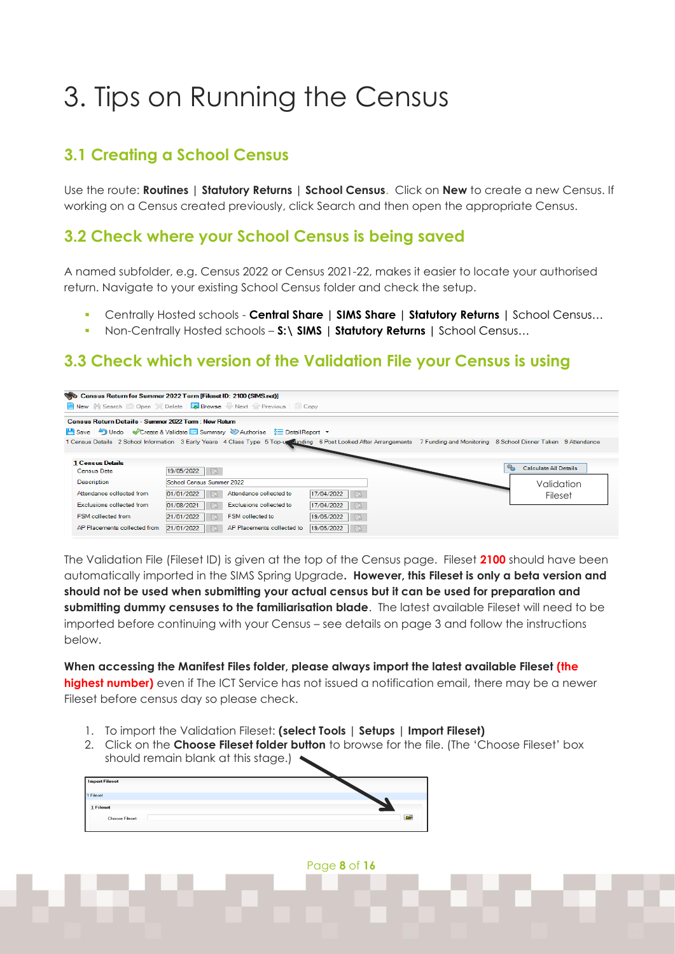# <span id="page-7-0"></span>3. Tips on Running the Census

# <span id="page-7-1"></span>**3.1 Creating a School Census**

Use the route: **Routines | Statutory Returns | School Census**. Click on **New** to create a new Census. If working on a Census created previously, click Search and then open the appropriate Census.

### <span id="page-7-2"></span>**3.2 Check where your School Census is being saved**

A named subfolder, e.g. Census 2022 or Census 2021-22, makes it easier to locate your authorised return. Navigate to your existing School Census folder and check the setup.

- Centrally Hosted schools **Central Share | SIMS Share | Statutory Returns |** School Census…
- Non-Centrally Hosted schools **S:\ SIMS | Statutory Returns |** School Census…

### <span id="page-7-3"></span>**3.3 Check which version of the Validation File your Census is using**

| Census Return for Summer 2022 Term [Fileset ID: 2100 (SIMS.net)] |                                                                                                                                                                               |                              |  |                                         |  |  |  |  |  |
|------------------------------------------------------------------|-------------------------------------------------------------------------------------------------------------------------------------------------------------------------------|------------------------------|--|-----------------------------------------|--|--|--|--|--|
| New M Search Open Celete <b>Lo Browse</b> Next Previous Copy     |                                                                                                                                                                               |                              |  |                                         |  |  |  |  |  |
| Census Return Details - Summer 2022 Term : New Return            |                                                                                                                                                                               |                              |  |                                         |  |  |  |  |  |
|                                                                  | Fil Save   Dindo   Create & Validate   Summary & Authorise   E DetailReport +                                                                                                 |                              |  |                                         |  |  |  |  |  |
|                                                                  | 1 Census Details 2 School Information 3 Early Years 4 Class Type 5 Top-us anding 6 Post Looked After Arrangements 7 Funding and Monitoring 8 School Dinner Taken 9 Attendance |                              |  |                                         |  |  |  |  |  |
| <b>1 Census Details</b><br><b>Census Date</b>                    | 19/05/2022                                                                                                                                                                    |                              |  | $\mathbb{Q}_n$<br>Calculate All Details |  |  |  |  |  |
| <b>Description</b>                                               | School Census Summer 2022                                                                                                                                                     |                              |  | Validation                              |  |  |  |  |  |
| Attendance collected from                                        | Attendance collected to<br>01/01/2022                                                                                                                                         | 17/04/2022<br>$\mathbb{R}$   |  | Fileset                                 |  |  |  |  |  |
| Exclusions collected from                                        | 01/08/2021<br>Exclusions collected to                                                                                                                                         | 17/04/2022<br>$\mathbb{R}^n$ |  |                                         |  |  |  |  |  |
| FSM collected from                                               | FSM collected to<br>21/01/2022                                                                                                                                                | 19/05/2022<br>$\mathbb{R}^n$ |  |                                         |  |  |  |  |  |
| AP Placements collected from                                     | 21/01/2022<br>AP Placements collected to                                                                                                                                      | 19/05/2022<br>$\mathbb{R}$   |  |                                         |  |  |  |  |  |

The Validation File (Fileset ID) is given at the top of the Census page. Fileset **2100** should have been automatically imported in the SIMS Spring Upgrade**. However, this Fileset is only a beta version and should not be used when submitting your actual census but it can be used for preparation and submitting dummy censuses to the familiarisation blade**. The latest available Fileset will need to be imported before continuing with your Census – see details on page 3 and follow the instructions below.

**When accessing the Manifest Files folder, please always import the latest available Fileset (the highest number)** even if The ICT Service has not issued a notification email, there may be a newer Fileset before census day so please check.

- 1. To import the Validation Fileset: **(select Tools | Setups | Import Fileset)**
- 2. Click on the **Choose Fileset folder button** to browse for the file. (The 'Choose Fileset' box should remain blank at this stage.)



Page **8** of **16**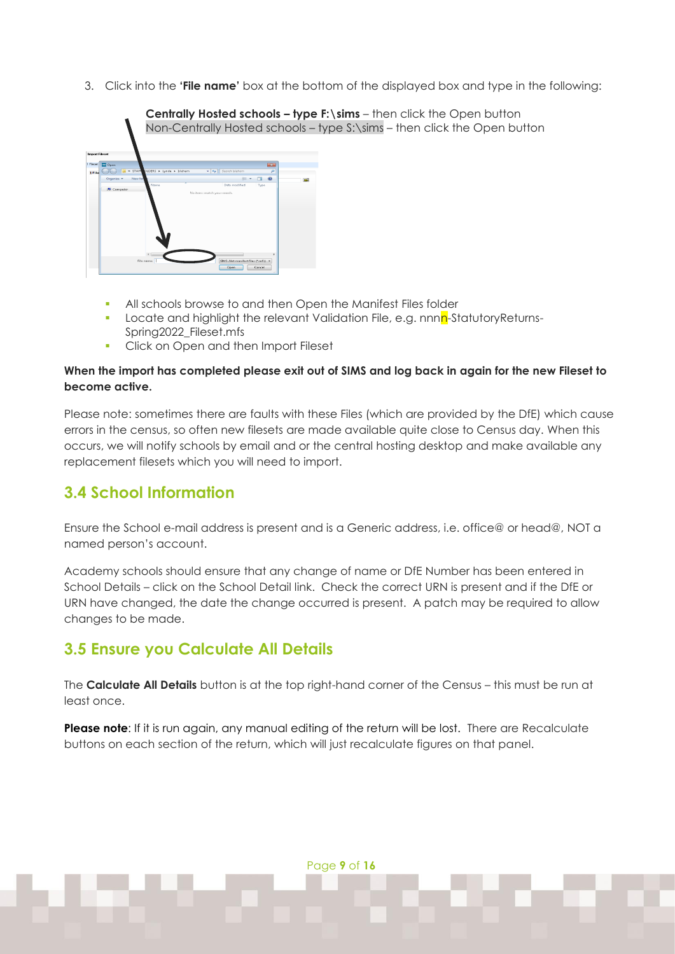3. Click into the **'File name'** box at the bottom of the displayed box and type in the following:



- All schools browse to and then Open the Manifest Files folder
- Locate and highlight the relevant Validation File, e.g. nnnn-StatutoryReturns-Spring2022\_Fileset.mfs
- Click on Open and then Import Fileset

### **When the import has completed please exit out of SIMS and log back in again for the new Fileset to become active.**

Please note: sometimes there are faults with these Files (which are provided by the DfE) which cause errors in the census, so often new filesets are made available quite close to Census day. When this occurs, we will notify schools by email and or the central hosting desktop and make available any replacement filesets which you will need to import.

## <span id="page-8-0"></span>**3.4 School Information**

Ensure the School e-mail address is present and is a Generic address, i.e. office@ or head@, NOT a named person's account.

Academy schools should ensure that any change of name or DfE Number has been entered in School Details – click on the School Detail link. Check the correct URN is present and if the DfE or URN have changed, the date the change occurred is present. A patch may be required to allow changes to be made.

## <span id="page-8-1"></span>**3.5 Ensure you Calculate All Details**

The **Calculate All Details** button is at the top right-hand corner of the Census – this must be run at least once.

**Please note**: If it is run again, any manual editing of the return will be lost. There are Recalculate buttons on each section of the return, which will just recalculate figures on that panel.

Page **9** of **16**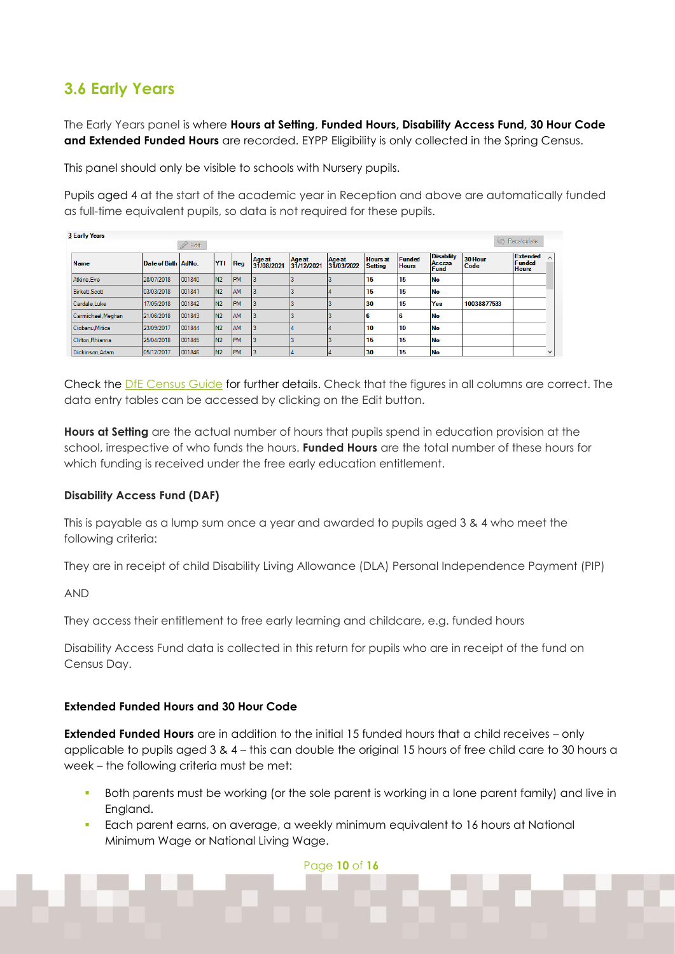## <span id="page-9-0"></span>**3.6 Early Years**

The Early Years panel is where **Hours at Setting**, **Funded Hours, Disability Access Fund, 30 Hour Code**  and Extended Funded Hours are recorded. EYPP Eligibility is only collected in the Spring Census.

This panel should only be visible to schools with Nursery pupils.

Pupils aged 4 at the start of the academic year in Reception and above are automatically funded as full-time equivalent pupils, so data is not required for these pupils.

| <b>3 Early Years</b> |                     |           |                 |           |                      |                      |                      |                                   |                        |                                     |                 |                                    |              |
|----------------------|---------------------|-----------|-----------------|-----------|----------------------|----------------------|----------------------|-----------------------------------|------------------------|-------------------------------------|-----------------|------------------------------------|--------------|
|                      |                     | P<br>Edit |                 |           |                      |                      |                      |                                   |                        |                                     |                 | Recalculate                        |              |
| <b>Name</b>          | Date of Birth AdNo. |           | <b>YTI</b>      | Req       | Age at<br>31/08/2021 | Age at<br>31/12/2021 | Age at<br>31/03/2022 | <b>Hours</b> at<br><b>Setting</b> | Funded<br><b>Hours</b> | <b>Disability</b><br>Access<br>Fund | 30 Hour<br>Code | Extended<br>Funded<br><b>Hours</b> | $\sim$       |
| Atkins.Eve           | 28/07/2018          | 001840    | I <sub>N2</sub> | <b>PM</b> |                      |                      |                      | 15                                | 15                     | <b>No</b>                           |                 |                                    |              |
| Birkett, Scott       | 03/03/2018          | 001841    | I <sub>N2</sub> | AM        |                      |                      |                      | 15                                | 15                     | <b>No</b>                           |                 |                                    |              |
| Cardale.Luke         | 17/05/2018          | 001842    | IN <sub>2</sub> | <b>PM</b> |                      |                      |                      | 30                                | 15                     | Yes                                 | 10038877533     |                                    |              |
| Carmichael, Meghan   | 21/06/2018          | 001843    | I <sub>N2</sub> | AM        |                      |                      |                      | lg                                | 16                     | No                                  |                 |                                    |              |
| Ciobanu.Mitica       | 23/09/2017          | 001844    | IN <sub>2</sub> | AM        |                      |                      |                      | 10                                | 10                     | <b>No</b>                           |                 |                                    |              |
| Clifton, Rhianna     | 25/04/2018          | 001845    | I <sub>N2</sub> | <b>PM</b> |                      |                      |                      | 15                                | 15                     | <b>No</b>                           |                 |                                    |              |
| Dickinson, Adam      | 05/12/2017          | 001846    | I <sub>N2</sub> | <b>PM</b> |                      |                      |                      | 30                                | 15                     | <b>No</b>                           |                 |                                    | $\checkmark$ |

Check the [DfE Census Guide](https://www.gov.uk/guidance/complete-the-school-census/data-items) for further details. Check that the figures in all columns are correct. The data entry tables can be accessed by clicking on the Edit button.

**Hours at Setting** are the actual number of hours that pupils spend in education provision at the school, irrespective of who funds the hours. **Funded Hours** are the total number of these hours for which funding is received under the free early education entitlement.

### **Disability Access Fund (DAF)**

This is payable as a lump sum once a year and awarded to pupils aged 3 & 4 who meet the following criteria:

They are in receipt of child Disability Living Allowance (DLA) Personal Independence Payment (PIP)

AND

They access their entitlement to free early learning and childcare, e.g. funded hours

Disability Access Fund data is collected in this return for pupils who are in receipt of the fund on Census Day.

### **Extended Funded Hours and 30 Hour Code**

**Extended Funded Hours** are in addition to the initial 15 funded hours that a child receives – only applicable to pupils aged 3 & 4 – this can double the original 15 hours of free child care to 30 hours a week – the following criteria must be met:

- Both parents must be working (or the sole parent is working in a lone parent family) and live in England.
- Each parent earns, on average, a weekly minimum equivalent to 16 hours at National Minimum Wage or National Living Wage.

Page **10** of **16**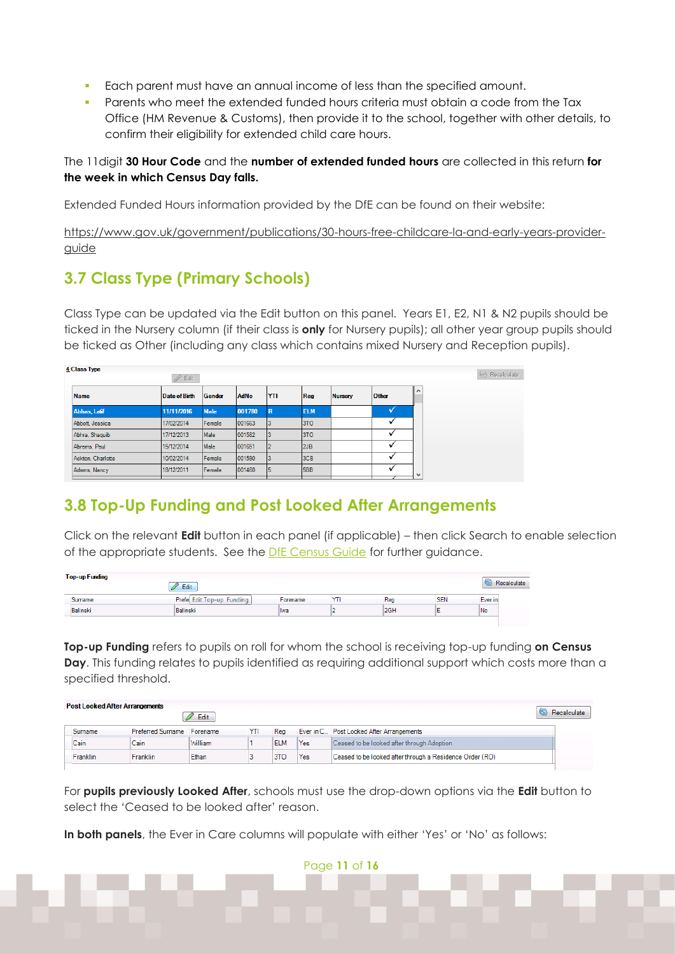- Each parent must have an annual income of less than the specified amount.
- Parents who meet the extended funded hours criteria must obtain a code from the Tax Office (HM Revenue & Customs), then provide it to the school, together with other details, to confirm their eligibility for extended child care hours.

The 11digit **30 Hour Code** and the **number of extended funded hours** are collected in this return **for the week in which Census Day falls.** 

Extended Funded Hours information provided by the DfE can be found on their website:

[https://www.gov.uk/government/publications/30-hours-free-childcare-la-and-early-years-provider](https://www.gov.uk/government/publications/30-hours-free-childcare-la-and-early-years-provider-guide)[guide](https://www.gov.uk/government/publications/30-hours-free-childcare-la-and-early-years-provider-guide)

# <span id="page-10-0"></span>**3.7 Class Type (Primary Schools)**

Class Type can be updated via the Edit button on this panel. Years E1, E2, N1 & N2 pupils should be ticked in the Nursery column (if their class is **only** for Nursery pupils); all other year group pupils should be ticked as Other (including any class which contains mixed Nursery and Reception pupils).

| 4 Class Type      | <i>P</i><br>Edit |             |             |             |            |                |       | Recalculate  |
|-------------------|------------------|-------------|-------------|-------------|------------|----------------|-------|--------------|
| <b>Name</b>       | Date of Birth    | Gender      | <b>AdNo</b> | <b>YTI</b>  | Reg        | <b>Nursery</b> | Other | $\wedge$     |
| Abbas, Latif      | 11/11/2016       | <b>Male</b> | 001780      | $\mathbb R$ | <b>ELM</b> |                |       |              |
| Abbott, Jessica   | 17/02/2014       | Female      | 001663      |             | 3TO        |                |       |              |
| Abhra, Shaquib    | 17/12/2013       | Male        | 001582      |             | 3TO        |                |       |              |
| Abrams, Paul      | 15/12/2014       | Male        | 001651      |             | 12JB       |                |       |              |
| Ackton, Charlotte | 10/02/2014       | Female      | 001590      |             | 3CB        |                |       |              |
| Adams, Nancy      | 18/12/2011       | Female      | 001460      | Ŀ           | 5BB        |                |       | $\checkmark$ |
|                   |                  |             |             |             |            |                |       |              |

# <span id="page-10-1"></span>**3.8 Top-Up Funding and Post Looked After Arrangements**

Click on the relevant **Edit** button in each panel (if applicable) – then click Search to enable selection of the appropriate students. See the [DfE Census Guide](https://www.gov.uk/guidance/complete-the-school-census/data-items) for further guidance.

| <b>Top-up Funding</b> | Edit                      |          |     |            |         |
|-----------------------|---------------------------|----------|-----|------------|---------|
| Surname               | Prefe Edit Top-up Funding | Forename | Rea | <b>SEN</b> | Ever in |
| <b>Balinski</b>       | Balinski                  | Iwa      | 2GH |            | l No    |

**Top-up Funding** refers to pupils on roll for whom the school is receiving top-up funding **on Census Day**. This funding relates to pupils identified as requiring additional support which costs more than a specified threshold.

| <b>Post Looked After Arrangements</b><br>Edit |                 |                            |         |     |            |     |                                                          | Recalculate |
|-----------------------------------------------|-----------------|----------------------------|---------|-----|------------|-----|----------------------------------------------------------|-------------|
|                                               | <b>Surname</b>  | Preferred Surname Forename |         | YTI | Rea        |     | Ever in C Post Looked After Arrangements                 |             |
|                                               | Cain            | Cain                       | William |     | <b>ELM</b> | Yes | Ceased to be looked after through Adoption               |             |
|                                               | <b>Franklin</b> | <b>Franklin</b>            | Ethan   |     | 3TO        | Yes | Ceased to be looked after through a Residence Order (RO) |             |

For **pupils previously Looked After**, schools must use the drop-down options via the **Edit** button to select the 'Ceased to be looked after' reason.

Page **11** of **16**

**In both panels**, the Ever in Care columns will populate with either 'Yes' or 'No' as follows: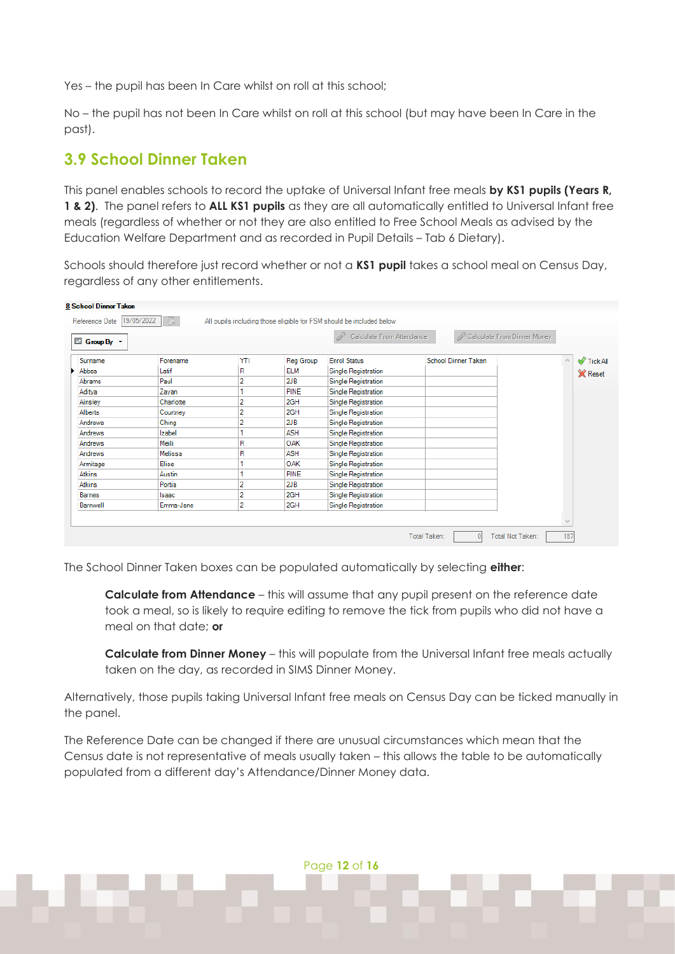Yes – the pupil has been In Care whilst on roll at this school;

No – the pupil has not been In Care whilst on roll at this school (but may have been In Care in the past).

### <span id="page-11-0"></span>**3.9 School Dinner Taken**

This panel enables schools to record the uptake of Universal Infant free meals **by KS1 pupils (Years R, 1 & 2)**. The panel refers to **ALL KS1 pupils** as they are all automatically entitled to Universal Infant free meals (regardless of whether or not they are also entitled to Free School Meals as advised by the Education Welfare Department and as recorded in Pupil Details – Tab 6 Dietary).

Schools should therefore just record whether or not a **KS1 pupil** takes a school meal on Census Day, regardless of any other entitlements.

| El Group By + |               |     |             | Calculate From Attendance | Calculate From Dinner Money<br>P |                |
|---------------|---------------|-----|-------------|---------------------------|----------------------------------|----------------|
| Surname       | Forename      | YTI | Reg Group   | <b>Enrol Status</b>       | <b>School Dinner Taken</b>       | N Tick All     |
| Abbas         | Latif         | R   | <b>ELM</b>  | Single Registration       |                                  | <b>X</b> Reset |
| Abrams        | Paul          | 2   | 2JB         | Single Registration       |                                  |                |
| Aditya        | Zayan         |     | <b>PINE</b> | Single Registration       |                                  |                |
| Ainsley       | Charlotte     |     | 2GH         | Single Registration       |                                  |                |
| Alberts       | Courtney      |     | 2GH         | Single Registration       |                                  |                |
| Andrews       | Ching         | 2   | 2JB         | Single Registration       |                                  |                |
| Andrews       | <b>Izabel</b> |     | <b>ASH</b>  | Single Registration       |                                  |                |
| Andrews       | Meili         | R   | <b>OAK</b>  | Single Registration       |                                  |                |
| Andrews       | Melissa       | R   | <b>ASH</b>  | Single Registration       |                                  |                |
| Armitage      | Elise         |     | <b>OAK</b>  | Single Registration       |                                  |                |
| Atkins        | Austin        |     | PINE        | Single Registration       |                                  |                |
| Atkins        | Portia        | 2   | 2JB         | Single Registration       |                                  |                |
| <b>Barnes</b> | Isaac         | 2   | 2GH         | Single Registration       |                                  |                |
| Barnwell      | Emma-Jane     | 2   | 2GH         | Single Registration       |                                  |                |

The School Dinner Taken boxes can be populated automatically by selecting **either**:

**Calculate from Attendance** – this will assume that any pupil present on the reference date took a meal, so is likely to require editing to remove the tick from pupils who did not have a meal on that date; **or**

**Calculate from Dinner Money** – this will populate from the Universal Infant free meals actually taken on the day, as recorded in SIMS Dinner Money.

Alternatively, those pupils taking Universal Infant free meals on Census Day can be ticked manually in the panel.

The Reference Date can be changed if there are unusual circumstances which mean that the Census date is not representative of meals usually taken – this allows the table to be automatically populated from a different day's Attendance/Dinner Money data.

Page **12** of **16**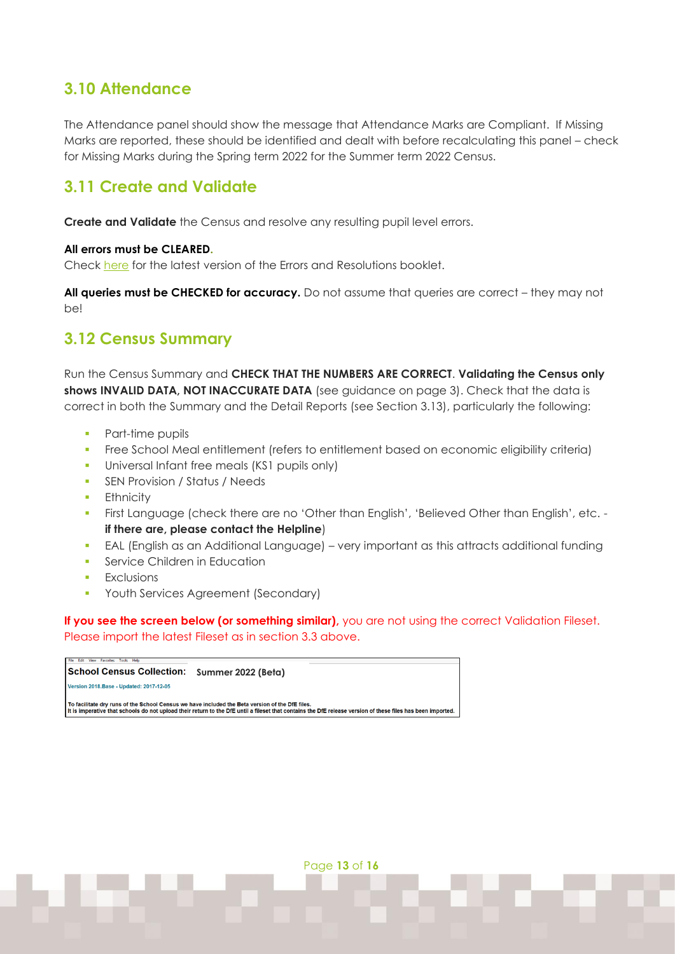## <span id="page-12-0"></span>**3.10 Attendance**

The Attendance panel should show the message that Attendance Marks are Compliant. If Missing Marks are reported, these should be identified and dealt with before recalculating this panel – check for Missing Marks during the Spring term 2022 for the Summer term 2022 Census.

## <span id="page-12-1"></span>**3.11 Create and Validate**

**Create and Validate** the Census and resolve any resulting pupil level errors.

#### **All errors must be CLEARED.**

Check [here](http://www.capitaess.co.uk/home/School_Census_Errors_and_Resolutions_v1.pdf) for the latest version of the Errors and Resolutions booklet.

**All queries must be CHECKED for accuracy.** Do not assume that queries are correct – they may not be!

### <span id="page-12-2"></span>**3.12 Census Summary**

Run the Census Summary and **CHECK THAT THE NUMBERS ARE CORRECT**. **Validating the Census only**  shows INVALID DATA, NOT INACCURATE DATA (see guidance on page 3). Check that the data is correct in both the Summary and the Detail Reports (see Section 3.13), particularly the following:

- Part-time pupils
- **•** Free School Meal entitlement (refers to entitlement based on economic eligibility criteria)
- **•** Universal Infant free meals (KS1 pupils only)
- **SEN Provision / Status / Needs**
- **•** Ethnicity
- First Language (check there are no 'Other than English', 'Believed Other than English', etc. **if there are, please contact the Helpline**)
- **EAL (English as an Additional Language)** very important as this attracts additional funding
- **•** Service Children in Education
- **•** Exclusions
- **Youth Services Agreement (Secondary)**

**If you see the screen below (or something similar)**, you are not using the correct Validation Fileset. Please import the latest Fileset as in section 3.3 above.

**School Census Collection: Summer 2022 (Beta)** Version 2018. Base - Updated: 2017-12-05 To facilitate dry runs of the School Census we have included the Beta version of the DfE files.<br>It is imperative that schools do not upload their return to the DfE until a fileset that contains the DfE release version of t

Page **13** of **16**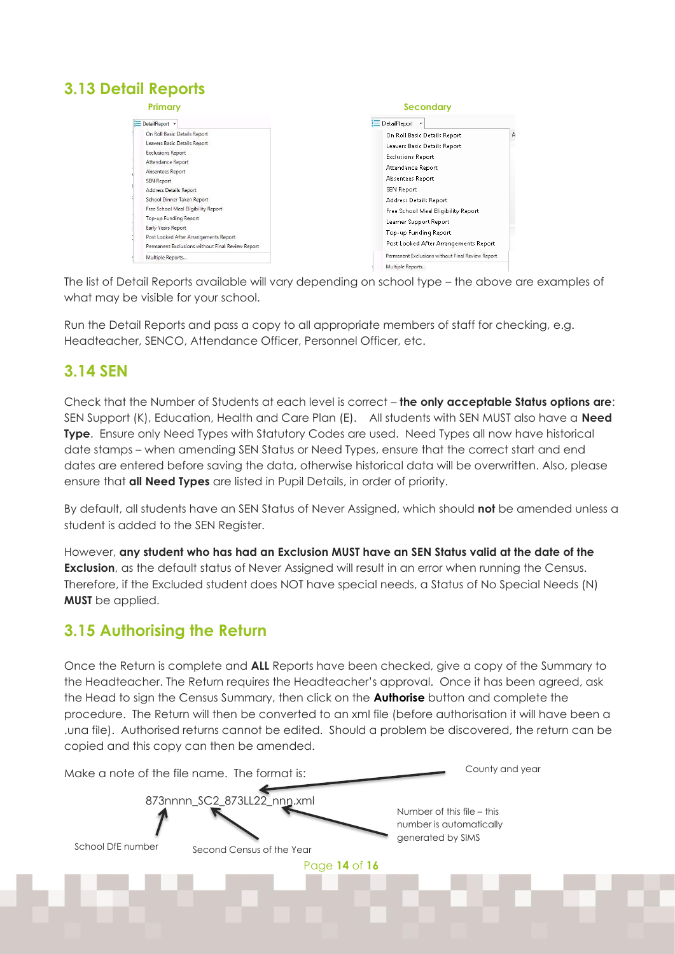# <span id="page-13-0"></span>**3.13 Detail Reports**

| Primary                                                                                                                                                                                                                                                                                                                                                                                    | <b>Secondary</b>                                                                                                                                                                                                                                                                                                  |  |  |  |  |
|--------------------------------------------------------------------------------------------------------------------------------------------------------------------------------------------------------------------------------------------------------------------------------------------------------------------------------------------------------------------------------------------|-------------------------------------------------------------------------------------------------------------------------------------------------------------------------------------------------------------------------------------------------------------------------------------------------------------------|--|--|--|--|
| DetailReport *                                                                                                                                                                                                                                                                                                                                                                             | ∰ DetailReport                                                                                                                                                                                                                                                                                                    |  |  |  |  |
| On Roll Basic Details Report<br>Leavers Basic Details Report<br><b>Exclusions Report</b><br>Attendance Report<br>Absentees Report<br>SEN Report<br>Address Details Report<br>School Dinner Taken Report<br>Free School Meal Eligibility Report<br>Top-up Funding Report<br>Early Years Report<br>Post Looked After Arrangements Report<br>Permanent Exclusions without Final Review Report | А<br>On Roll Basic Details Report<br>Leavers Basic Details Report<br><b>Exclusions Report</b><br>Attendance Report<br>Absentees Report<br>SEN Report<br>Address Details Report<br>Free School Meal Eligibility Report<br>Learner Support Report<br>Top-up Funding Report<br>Post Looked After Arrangements Report |  |  |  |  |
| Multiple Reports                                                                                                                                                                                                                                                                                                                                                                           | Permanent Exclusions without Final Review Report<br>Multiple Reports                                                                                                                                                                                                                                              |  |  |  |  |

The list of Detail Reports available will vary depending on school type – the above are examples of what may be visible for your school.

Run the Detail Reports and pass a copy to all appropriate members of staff for checking, e.g. Headteacher, SENCO, Attendance Officer, Personnel Officer, etc.

### <span id="page-13-1"></span>**3.14 SEN**

Check that the Number of Students at each level is correct – **the only acceptable Status options are**: SEN Support (K), Education, Health and Care Plan (E). All students with SEN MUST also have a **Need Type**. Ensure only Need Types with Statutory Codes are used. Need Types all now have historical date stamps – when amending SEN Status or Need Types, ensure that the correct start and end dates are entered before saving the data, otherwise historical data will be overwritten. Also, please ensure that **all Need Types** are listed in Pupil Details, in order of priority.

By default, all students have an SEN Status of Never Assigned, which should **not** be amended unless a student is added to the SEN Register.

However, **any student who has had an Exclusion MUST have an SEN Status valid at the date of the Exclusion**, as the default status of Never Assigned will result in an error when running the Census. Therefore, if the Excluded student does NOT have special needs, a Status of No Special Needs (N) **MUST** be applied.

## <span id="page-13-2"></span>**3.15 Authorising the Return**

Once the Return is complete and **ALL** Reports have been checked, give a copy of the Summary to the Headteacher. The Return requires the Headteacher's approval. Once it has been agreed, ask the Head to sign the Census Summary, then click on the **Authorise** button and complete the procedure. The Return will then be converted to an xml file (before authorisation it will have been a .una file). Authorised returns cannot be edited. Should a problem be discovered, the return can be copied and this copy can then be amended.

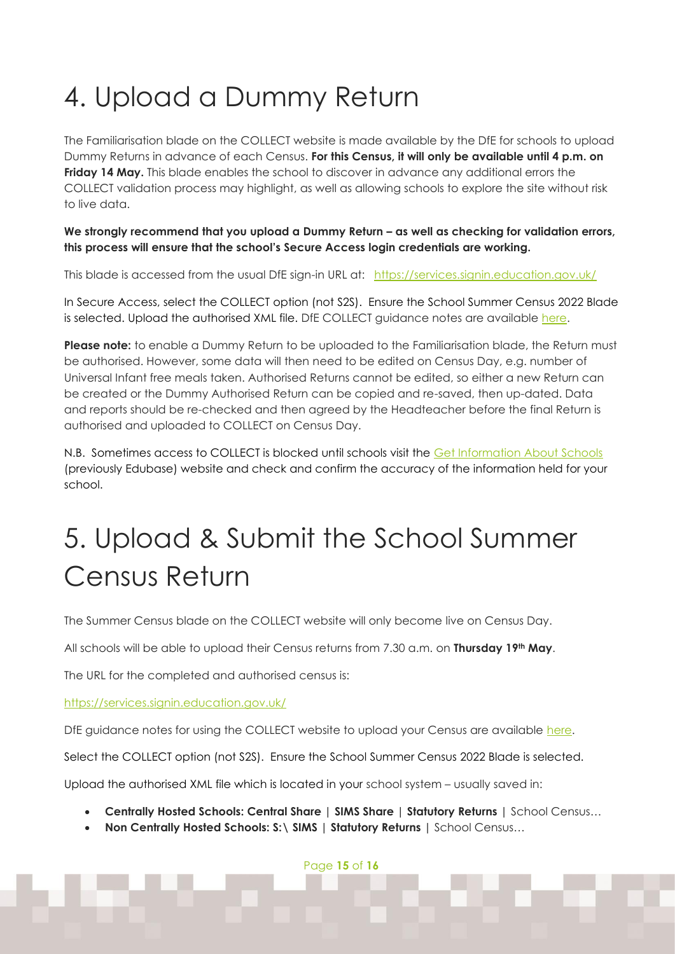# <span id="page-14-0"></span>4. Upload a Dummy Return

The Familiarisation blade on the COLLECT website is made available by the DfE for schools to upload Dummy Returns in advance of each Census. **For this Census, it will only be available until 4 p.m. on Friday 14 May.** This blade enables the school to discover in advance any additional errors the COLLECT validation process may highlight, as well as allowing schools to explore the site without risk to live data.

We strongly recommend that you upload a Dummy Return – as well as checking for validation errors, **this process will ensure that the school's Secure Access login credentials are working.** 

This blade is accessed from the usual DfE sign-in URL at: <https://services.signin.education.gov.uk/>

In Secure Access, select the COLLECT option (not S2S). Ensure the School Summer Census 2022 Blade is selected. Upload the authorised XML file. DfE COLLECT guidance notes are available [here.](https://assets.publishing.service.gov.uk/government/uploads/system/uploads/attachment_data/file/579630/Generic_Collect_guide_for_Academies_and_Free_Schools_-_Final.pdf)

**Please note:** to enable a Dummy Return to be uploaded to the Familiarisation blade, the Return must be authorised. However, some data will then need to be edited on Census Day, e.g. number of Universal Infant free meals taken. Authorised Returns cannot be edited, so either a new Return can be created or the Dummy Authorised Return can be copied and re-saved, then up-dated. Data and reports should be re-checked and then agreed by the Headteacher before the final Return is authorised and uploaded to COLLECT on Census Day.

N.B. Sometimes access to COLLECT is blocked until schools visit the [Get Information About Schools](https://get-information-schools.service.gov.uk/) (previously Edubase) website and check and confirm the accuracy of the information held for your school.

# <span id="page-14-1"></span>5. Upload & Submit the School Summer Census Return

The Summer Census blade on the COLLECT website will only become live on Census Day.

All schools will be able to upload their Census returns from 7.30 a.m. on **Thursday 19th May**.

The URL for the completed and authorised census is:

<https://services.signin.education.gov.uk/>

DfE guidance notes for using the COLLECT website to upload your Census are available [here.](https://assets.publishing.service.gov.uk/government/uploads/system/uploads/attachment_data/file/579630/Generic_Collect_guide_for_Academies_and_Free_Schools_-_Final.pdf)

Select the COLLECT option (not S2S). Ensure the School Summer Census 2022 Blade is selected.

Upload the authorised XML file which is located in your school system – usually saved in:

- **Centrally Hosted Schools: Central Share | SIMS Share | Statutory Returns |** School Census…
- **Non Centrally Hosted Schools: S:\ SIMS | Statutory Returns |** School Census…

Page **15** of **16**